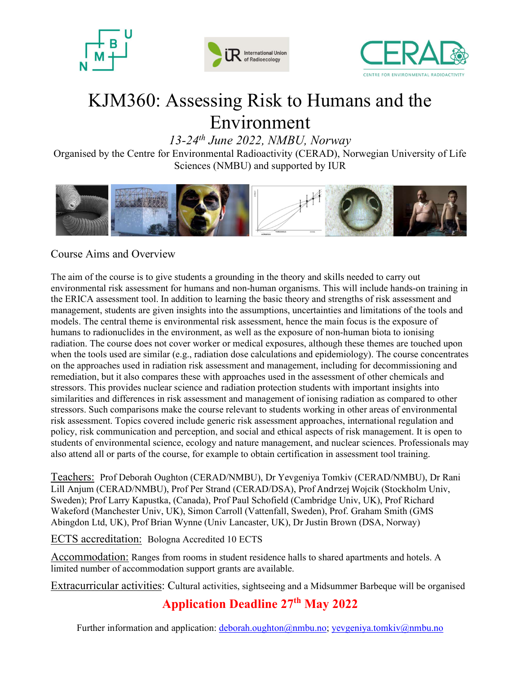





# KJM360: Assessing Risk to Humans and the Environment

 $13-24$ <sup>th</sup> June 2022, NMBU, Norway

Organised by the Centre for Environmental Radioactivity (CERAD), Norwegian University of Life Sciences (NMBU) and supported by IUR



# Course Aims and Overview

The aim of the course is to give students a grounding in the theory and skills needed to carry out environmental risk assessment for humans and non-human organisms. This will include hands-on training in the ERICA assessment tool. In addition to learning the basic theory and strengths of risk assessment and management, students are given insights into the assumptions, uncertainties and limitations of the tools and models. The central theme is environmental risk assessment, hence the main focus is the exposure of humans to radionuclides in the environment, as well as the exposure of non-human biota to ionising radiation. The course does not cover worker or medical exposures, although these themes are touched upon when the tools used are similar (e.g., radiation dose calculations and epidemiology). The course concentrates on the approaches used in radiation risk assessment and management, including for decommissioning and remediation, but it also compares these with approaches used in the assessment of other chemicals and stressors. This provides nuclear science and radiation protection students with important insights into similarities and differences in risk assessment and management of ionising radiation as compared to other stressors. Such comparisons make the course relevant to students working in other areas of environmental risk assessment. Topics covered include generic risk assessment approaches, international regulation and policy, risk communication and perception, and social and ethical aspects of risk management. It is open to students of environmental science, ecology and nature management, and nuclear sciences. Professionals may also attend all or parts of the course, for example to obtain certification in assessment tool training.

Teachers: Prof Deborah Oughton (CERAD/NMBU), Dr Yevgeniya Tomkiv (CERAD/NMBU), Dr Rani Lill Anjum (CERAD/NMBU), Prof Per Strand (CERAD/DSA), Prof Andrzej Wojcik (Stockholm Univ, Sweden); Prof Larry Kapustka, (Canada), Prof Paul Schofield (Cambridge Univ, UK), Prof Richard Wakeford (Manchester Univ, UK), Simon Carroll (Vattenfall, Sweden), Prof. Graham Smith (GMS Abingdon Ltd, UK), Prof Brian Wynne (Univ Lancaster, UK), Dr Justin Brown (DSA, Norway)

ECTS accreditation: Bologna Accredited 10 ECTS

Accommodation: Ranges from rooms in student residence halls to shared apartments and hotels. A limited number of accommodation support grants are available.

Extracurricular activities: Cultural activities, sightseeing and a Midsummer Barbeque will be organised

# Application Deadline 27th May 2022

Further information and application: deborah.oughton@nmbu.no; yevgeniya.tomkiv@nmbu.no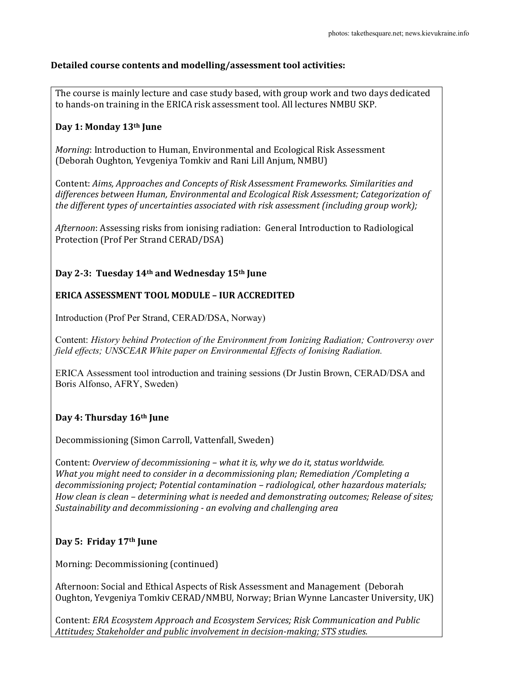#### Detailed course contents and modelling/assessment tool activities:

The course is mainly lecture and case study based, with group work and two days dedicated to hands-on training in the ERICA risk assessment tool. All lectures NMBU SKP.

#### Day 1: Monday 13th June

Morning: Introduction to Human, Environmental and Ecological Risk Assessment (Deborah Oughton, Yevgeniya Tomkiv and Rani Lill Anjum, NMBU)

Content: Aims, Approaches and Concepts of Risk Assessment Frameworks. Similarities and differences between Human, Environmental and Ecological Risk Assessment; Categorization of the different types of uncertainties associated with risk assessment (including group work);

Afternoon: Assessing risks from ionising radiation: General Introduction to Radiological Protection (Prof Per Strand CERAD/DSA)

### Day 2-3: Tuesday 14th and Wednesday 15th June

#### ERICA ASSESSMENT TOOL MODULE – IUR ACCREDITED

Introduction (Prof Per Strand, CERAD/DSA, Norway)

Content: History behind Protection of the Environment from Ionizing Radiation; Controversy over field effects; UNSCEAR White paper on Environmental Effects of Ionising Radiation.

ERICA Assessment tool introduction and training sessions (Dr Justin Brown, CERAD/DSA and Boris Alfonso, AFRY, Sweden)

#### Day 4: Thursday 16<sup>th</sup> June

Decommissioning (Simon Carroll, Vattenfall, Sweden)

Content: Overview of decommissioning – what it is, why we do it, status worldwide. What you might need to consider in a decommissioning plan; Remediation /Completing a decommissioning project; Potential contamination – radiological, other hazardous materials; How clean is clean – determining what is needed and demonstrating outcomes; Release of sites; Sustainability and decommissioning - an evolving and challenging area

#### Day 5: Friday 17th June

Morning: Decommissioning (continued)

Afternoon: Social and Ethical Aspects of Risk Assessment and Management (Deborah Oughton, Yevgeniya Tomkiv CERAD/NMBU, Norway; Brian Wynne Lancaster University, UK)

Content: ERA Ecosystem Approach and Ecosystem Services; Risk Communication and Public Attitudes; Stakeholder and public involvement in decision-making; STS studies.